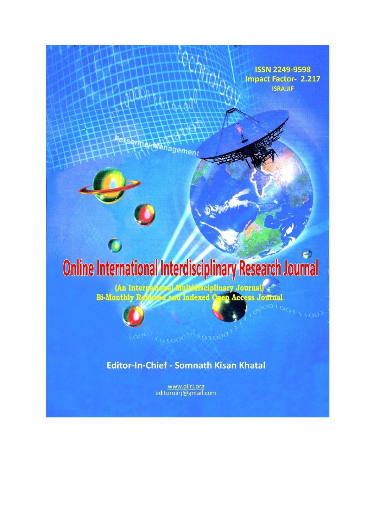

**ISSN 2249-9598** 

editoroiirj@gmail.com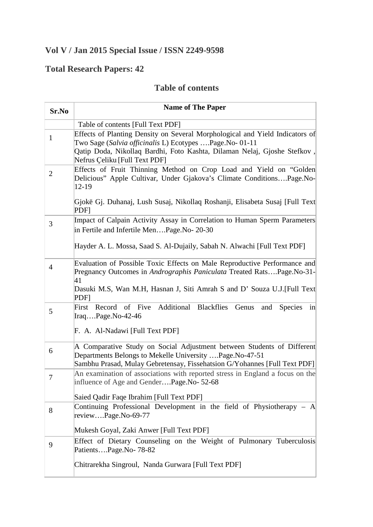## **Vol V / Jan 2015 Special Issue / ISSN 2249-9598**

## **Total Research Papers: 42**

## **Table of contents**

| Sr.No          | <b>Name of The Paper</b>                                                                                                                                                                                                                      |
|----------------|-----------------------------------------------------------------------------------------------------------------------------------------------------------------------------------------------------------------------------------------------|
|                | Table of contents [Full Text PDF]                                                                                                                                                                                                             |
| $\mathbf{1}$   | Effects of Planting Density on Several Morphological and Yield Indicators of<br>Two Sage (Salvia officinalis L) Ecotypes Page.No-01-11                                                                                                        |
|                | Qatip Doda, Nikollaq Bardhi, Foto Kashta, Dilaman Nelaj, Gjoshe Stefkov,<br>Nefrus Çeliku [Full Text PDF]                                                                                                                                     |
| $\overline{2}$ | Effects of Fruit Thinning Method on Crop Load and Yield on "Golden<br>Delicious" Apple Cultivar, Under Gjakova's Climate ConditionsPage.No-<br>12-19                                                                                          |
|                | Gjokë Gj. Duhanaj, Lush Susaj, Nikollaq Roshanji, Elisabeta Susaj [Full Text]<br>PDF <sub>l</sub>                                                                                                                                             |
| 3              | Impact of Calpain Activity Assay in Correlation to Human Sperm Parameters<br>in Fertile and Infertile MenPage.No- 20-30                                                                                                                       |
|                | Hayder A. L. Mossa, Saad S. Al-Dujaily, Sabah N. Alwachi [Full Text PDF]                                                                                                                                                                      |
| $\overline{4}$ | Evaluation of Possible Toxic Effects on Male Reproductive Performance and<br>Pregnancy Outcomes in Andrographis Paniculata Treated RatsPage.No-31-<br>41<br>Dasuki M.S, Wan M.H, Hasnan J, Siti Amrah S and D' Souza U.J. [Full Text]<br>PDFI |
| 5              | Additional Blackflies<br>First Record of Five<br>Genus<br>and<br>Species<br>$\overline{\text{in}}$<br>$\text{Iraq} \dots \text{Page} \cdot \text{No-42-46}$                                                                                   |
|                | F. A. Al-Nadawi [Full Text PDF]                                                                                                                                                                                                               |
| 6              | A Comparative Study on Social Adjustment between Students of Different<br>Departments Belongs to Mekelle University Page.No-47-51<br>Sambhu Prasad, Mulay Gebretensay, Fissehatsion G/Yohannes [Full Text PDF]                                |
| 7              | An examination of associations with reported stress in England a focus on the<br>influence of Age and GenderPage.No- 52-68                                                                                                                    |
|                | Saied Qadir Faqe Ibrahim [Full Text PDF]                                                                                                                                                                                                      |
| 8              | Continuing Professional Development in the field of Physiotherapy $-$ A<br>reviewPage.No-69-77                                                                                                                                                |
|                | Mukesh Goyal, Zaki Anwer [Full Text PDF]                                                                                                                                                                                                      |
| 9              | Effect of Dietary Counseling on the Weight of Pulmonary Tuberculosis<br>PatientsPage.No-78-82                                                                                                                                                 |
|                | Chitrarekha Singroul, Nanda Gurwara [Full Text PDF]                                                                                                                                                                                           |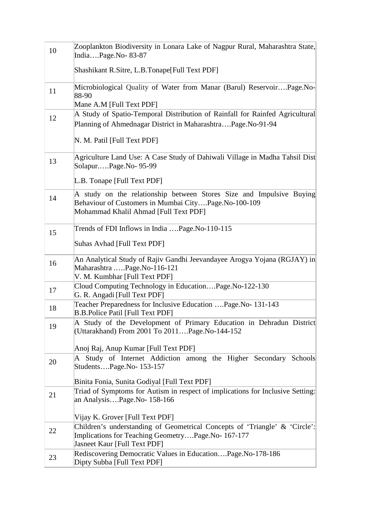| 10 | Zooplankton Biodiversity in Lonara Lake of Nagpur Rural, Maharashtra State,<br>IndiaPage.No-83-87                                                                     |
|----|-----------------------------------------------------------------------------------------------------------------------------------------------------------------------|
|    | Shashikant R.Sitre, L.B.Tonape[Full Text PDF]                                                                                                                         |
| 11 | Microbiological Quality of Water from Manar (Barul) ReservoirPage.No-<br>88-90                                                                                        |
|    | Mane A.M [Full Text PDF]                                                                                                                                              |
| 12 | A Study of Spatio-Temporal Distribution of Rainfall for Rainfed Agricultural<br>Planning of Ahmednagar District in MaharashtraPage.No-91-94                           |
|    | N. M. Patil [Full Text PDF]                                                                                                                                           |
| 13 | Agriculture Land Use: A Case Study of Dahiwali Village in Madha Tahsil Dist<br>SolapurPage.No-95-99                                                                   |
|    | L.B. Tonape [Full Text PDF]                                                                                                                                           |
| 14 | A study on the relationship between Stores Size and Impulsive Buying<br>Behaviour of Customers in Mumbai CityPage.No-100-109<br>Mohammad Khalil Ahmad [Full Text PDF] |
| 15 | Trends of FDI Inflows in India Page.No-110-115                                                                                                                        |
|    | Suhas Avhad [Full Text PDF]                                                                                                                                           |
| 16 | An Analytical Study of Rajiv Gandhi Jeevandayee Arogya Yojana (RGJAY) in<br>Maharashtra Page.No-116-121<br>V. M. Kumbhar [Full Text PDF]                              |
| 17 | Cloud Computing Technology in EducationPage.No-122-130<br>G. R. Angadi [Full Text PDF]                                                                                |
| 18 | Teacher Preparedness for Inclusive Education  Page. No-131-143<br><b>B.B.Police Patil [Full Text PDF]</b>                                                             |
| 19 | A Study of the Development of Primary Education in Dehradun District<br>(Uttarakhand) From 2001 To 2011Page.No-144-152                                                |
|    | Anoj Raj, Anup Kumar [Full Text PDF]                                                                                                                                  |
| 20 | A Study of Internet Addiction among the Higher Secondary<br>Schools                                                                                                   |
|    | StudentsPage.No-153-157                                                                                                                                               |
|    | Binita Fonia, Sunita Godiyal [Full Text PDF]                                                                                                                          |
|    | Triad of Symptoms for Autism in respect of implications for Inclusive Setting:                                                                                        |
| 21 | an AnalysisPage.No- 158-166                                                                                                                                           |
|    | Vijay K. Grover [Full Text PDF]                                                                                                                                       |
|    | Children's understanding of Geometrical Concepts of 'Triangle' & 'Circle':                                                                                            |
| 22 | Implications for Teaching GeometryPage.No- 167-177                                                                                                                    |
|    | <b>Jasneet Kaur [Full Text PDF]</b>                                                                                                                                   |
| 23 | Rediscovering Democratic Values in EducationPage.No-178-186<br>Dipty Subba [Full Text PDF]                                                                            |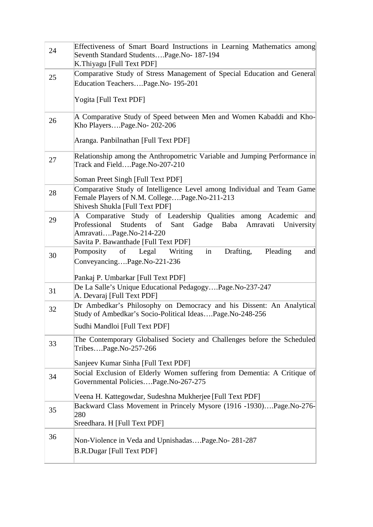| 24 | Effectiveness of Smart Board Instructions in Learning Mathematics among                                                                                                                                    |
|----|------------------------------------------------------------------------------------------------------------------------------------------------------------------------------------------------------------|
|    | Seventh Standard StudentsPage.No-187-194<br>K.Thiyagu [Full Text PDF]                                                                                                                                      |
| 25 | Comparative Study of Stress Management of Special Education and General                                                                                                                                    |
|    | Education TeachersPage.No- 195-201                                                                                                                                                                         |
|    | Yogita [Full Text PDF]                                                                                                                                                                                     |
| 26 | A Comparative Study of Speed between Men and Women Kabaddi and Kho-<br>Kho PlayersPage.No-202-206                                                                                                          |
|    | Aranga. Panbilnathan [Full Text PDF]                                                                                                                                                                       |
| 27 | Relationship among the Anthropometric Variable and Jumping Performance in<br>Track and FieldPage.No-207-210                                                                                                |
|    | Soman Preet Singh [Full Text PDF]                                                                                                                                                                          |
| 28 | Comparative Study of Intelligence Level among Individual and Team Game<br>Female Players of N.M. CollegePage.No-211-213<br>Shivesh Shukla [Full Text PDF]                                                  |
| 29 | A Comparative Study of Leadership Qualities among Academic and<br>Professional<br>Students<br>of<br>Sant Gadge Baba Amravati University<br>AmravatiPage.No-214-220<br>Savita P. Bawanthade [Full Text PDF] |
| 30 | Pomposity of Legal<br>in<br>Drafting,<br>Pleading<br>Writing<br>and<br>ConveyancingPage.No-221-236                                                                                                         |
|    | Pankaj P. Umbarkar [Full Text PDF]                                                                                                                                                                         |
| 31 | De La Salle's Unique Educational PedagogyPage.No-237-247<br>A. Devaraj [Full Text PDF]                                                                                                                     |
| 32 | Dr Ambedkar's Philosophy on Democracy and his Dissent: An Analytical<br>Study of Ambedkar's Socio-Political IdeasPage.No-248-256                                                                           |
|    | Sudhi Mandloi [Full Text PDF]                                                                                                                                                                              |
| 33 | The Contemporary Globalised Society and Challenges before the Scheduled<br>TribesPage.No-257-266                                                                                                           |
|    | Sanjeev Kumar Sinha [Full Text PDF]                                                                                                                                                                        |
| 34 | Social Exclusion of Elderly Women suffering from Dementia: A Critique of<br>Governmental PoliciesPage.No-267-275                                                                                           |
|    | Veena H. Kattegowdar, Sudeshna Mukherjee [Full Text PDF]                                                                                                                                                   |
| 35 | Backward Class Movement in Princely Mysore (1916 -1930)Page.No-276-<br>280                                                                                                                                 |
|    | Sreedhara. H [Full Text PDF]                                                                                                                                                                               |
| 36 | Non-Violence in Veda and UpnishadasPage.No-281-287                                                                                                                                                         |
|    | <b>B.R.Dugar [Full Text PDF]</b>                                                                                                                                                                           |